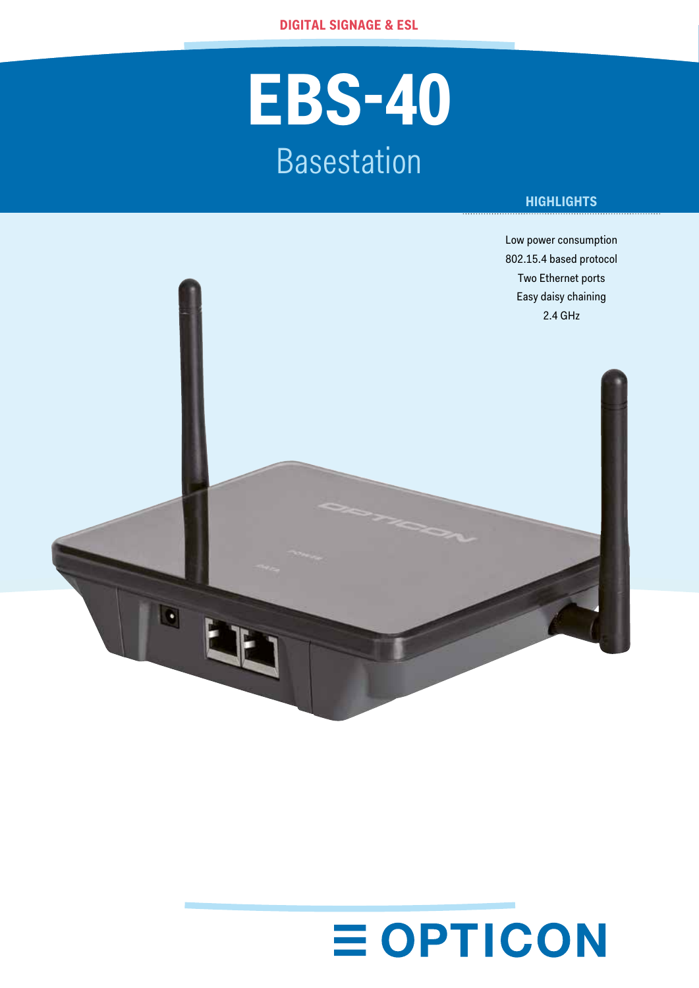## **EBS-40** Basestation

### **HIGHLIGHTS**



# **EOPTICON**